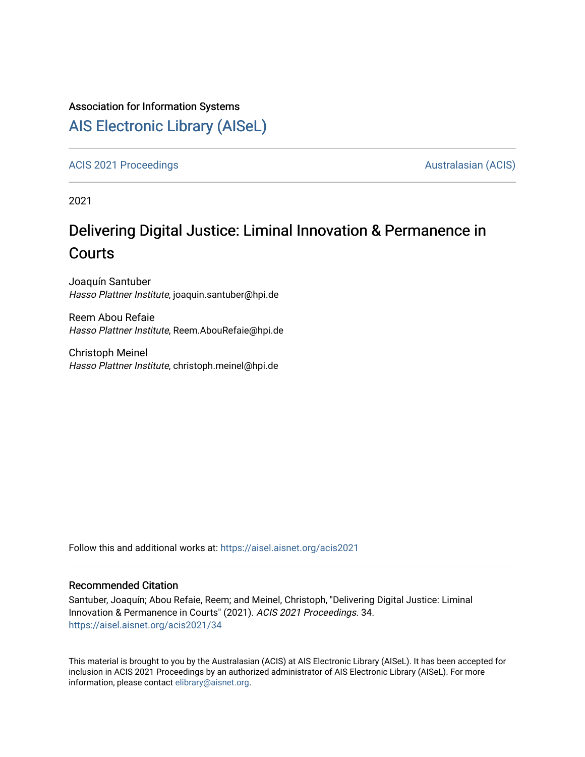#### Association for Information Systems

# [AIS Electronic Library \(AISeL\)](https://aisel.aisnet.org/)

[ACIS 2021 Proceedings](https://aisel.aisnet.org/acis2021) **AUSTRALIA CIS** Australasian (ACIS)

2021

# Delivering Digital Justice: Liminal Innovation & Permanence in **Courts**

Joaquín Santuber Hasso Plattner Institute, joaquin.santuber@hpi.de

Reem Abou Refaie Hasso Plattner Institute, Reem.AbouRefaie@hpi.de

Christoph Meinel Hasso Plattner Institute, christoph.meinel@hpi.de

Follow this and additional works at: [https://aisel.aisnet.org/acis2021](https://aisel.aisnet.org/acis2021?utm_source=aisel.aisnet.org%2Facis2021%2F34&utm_medium=PDF&utm_campaign=PDFCoverPages) 

#### Recommended Citation

Santuber, Joaquín; Abou Refaie, Reem; and Meinel, Christoph, "Delivering Digital Justice: Liminal Innovation & Permanence in Courts" (2021). ACIS 2021 Proceedings. 34. [https://aisel.aisnet.org/acis2021/34](https://aisel.aisnet.org/acis2021/34?utm_source=aisel.aisnet.org%2Facis2021%2F34&utm_medium=PDF&utm_campaign=PDFCoverPages)

This material is brought to you by the Australasian (ACIS) at AIS Electronic Library (AISeL). It has been accepted for inclusion in ACIS 2021 Proceedings by an authorized administrator of AIS Electronic Library (AISeL). For more information, please contact [elibrary@aisnet.org.](mailto:elibrary@aisnet.org%3E)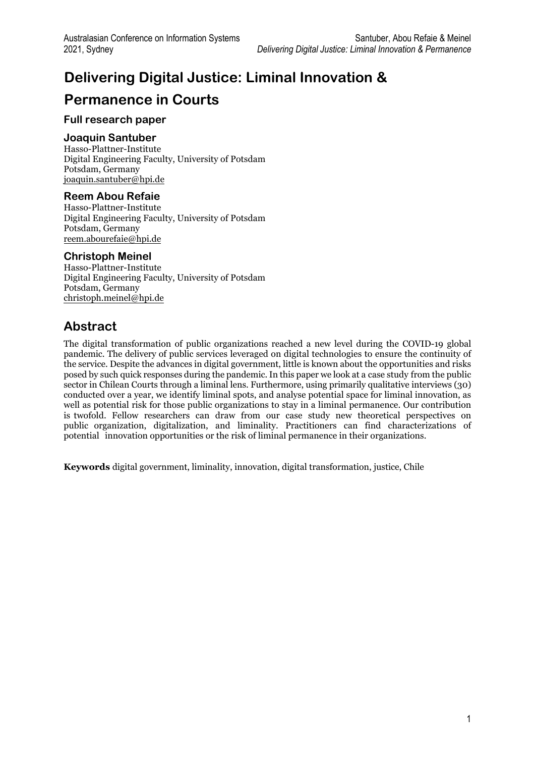# **Delivering Digital Justice: Liminal Innovation & Permanence in Courts**

#### **Full research paper**

#### **Joaquin Santuber**

Hasso-Plattner-Institute Digital Engineering Faculty, University of Potsdam Potsdam, Germany [joaquin.santuber@hpi.de](mailto:joaquin.santuber@hpi.de)

#### **Reem Abou Refaie**

Hasso-Plattner-Institute Digital Engineering Faculty, University of Potsdam Potsdam, Germany [reem.abourefaie@hpi.de](mailto:reem.abourefaie@hpi.de) 

#### **Christoph Meinel**

Hasso-Plattner-Institute Digital Engineering Faculty, University of Potsdam Potsdam, Germany christoph.meinel@hpi.de

### **Abstract**

The digital transformation of public organizations reached a new level during the COVID-19 global pandemic. The delivery of public services leveraged on digital technologies to ensure the continuity of the service. Despite the advances in digital government, little is known about the opportunities and risks posed by such quick responses during the pandemic. In this paper we look at a case study from the public sector in Chilean Courts through a liminal lens. Furthermore, using primarily qualitative interviews (30) conducted over a year, we identify liminal spots, and analyse potential space for liminal innovation, as well as potential risk for those public organizations to stay in a liminal permanence. Our contribution is twofold. Fellow researchers can draw from our case study new theoretical perspectives on public organization, digitalization, and liminality. Practitioners can find characterizations of potential innovation opportunities or the risk of liminal permanence in their organizations.

**Keywords** digital government, liminality, innovation, digital transformation, justice, Chile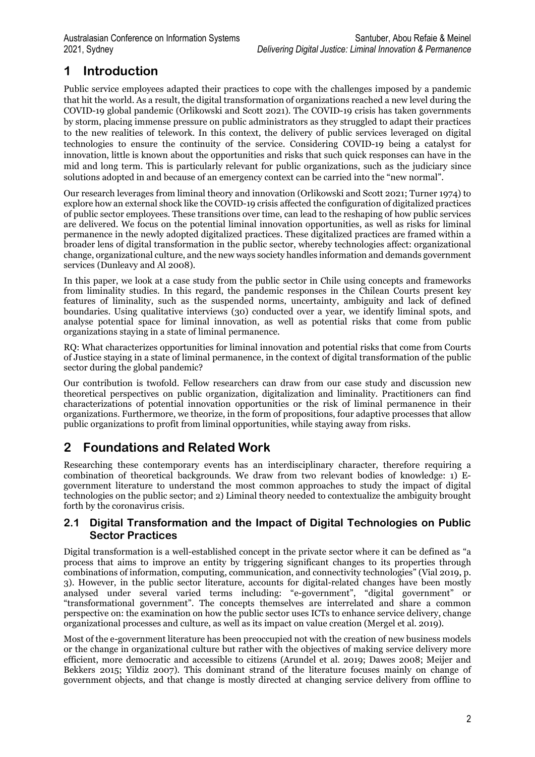# **1 Introduction**

Public service employees adapted their practices to cope with the challenges imposed by a pandemic that hit the world. As a result, the digital transformation of organizations reached a new level during the COVID-19 global pandemic (Orlikowski and Scott 2021). The COVID-19 crisis has taken governments by storm, placing immense pressure on public administrators as they struggled to adapt their practices to the new realities of telework. In this context, the delivery of public services leveraged on digital technologies to ensure the continuity of the service. Considering COVID-19 being a catalyst for innovation, little is known about the opportunities and risks that such quick responses can have in the mid and long term. This is particularly relevant for public organizations, such as the judiciary since solutions adopted in and because of an emergency context can be carried into the "new normal".

Our research leverages from liminal theory and innovation (Orlikowski and Scott 2021; Turner 1974) to explore how an external shock like the COVID-19 crisis affected the configuration of digitalized practices of public sector employees. These transitions over time, can lead to the reshaping of how public services are delivered. We focus on the potential liminal innovation opportunities, as well as risks for liminal permanence in the newly adopted digitalized practices. These digitalized practices are framed within a broader lens of digital transformation in the public sector, whereby technologies affect: organizational change, organizational culture, and the new ways society handles information and demands government services (Dunleavy and Al 2008).

In this paper, we look at a case study from the public sector in Chile using concepts and frameworks from liminality studies. In this regard, the pandemic responses in the Chilean Courts present key features of liminality, such as the suspended norms, uncertainty, ambiguity and lack of defined boundaries. Using qualitative interviews (30) conducted over a year, we identify liminal spots, and analyse potential space for liminal innovation, as well as potential risks that come from public organizations staying in a state of liminal permanence.

RQ: What characterizes opportunities for liminal innovation and potential risks that come from Courts of Justice staying in a state of liminal permanence, in the context of digital transformation of the public sector during the global pandemic?

Our contribution is twofold. Fellow researchers can draw from our case study and discussion new theoretical perspectives on public organization, digitalization and liminality. Practitioners can find characterizations of potential innovation opportunities or the risk of liminal permanence in their organizations. Furthermore, we theorize, in the form of propositions, four adaptive processes that allow public organizations to profit from liminal opportunities, while staying away from risks.

# **2 Foundations and Related Work**

Researching these contemporary events has an interdisciplinary character, therefore requiring a combination of theoretical backgrounds. We draw from two relevant bodies of knowledge: 1) Egovernment literature to understand the most common approaches to study the impact of digital technologies on the public sector; and 2) Liminal theory needed to contextualize the ambiguity brought forth by the coronavirus crisis.

#### **2.1 Digital Transformation and the Impact of Digital Technologies on Public Sector Practices**

Digital transformation is a well-established concept in the private sector where it can be defined as "a process that aims to improve an entity by triggering significant changes to its properties through combinations of information, computing, communication, and connectivity technologies" (Vial 2019, p. 3). However, in the public sector literature, accounts for digital-related changes have been mostly analysed under several varied terms including: "e-government", "digital government" or "transformational government". The concepts themselves are interrelated and share a common perspective on: the examination on how the public sector uses ICTs to enhance service delivery, change organizational processes and culture, as well as its impact on value creation (Mergel et al. 2019).

Most of the e-government literature has been preoccupied not with the creation of new business models or the change in organizational culture but rather with the objectives of making service delivery more efficient, more democratic and accessible to citizens (Arundel et al. 2019; Dawes 2008; Meijer and Bekkers 2015; Yildiz 2007). This dominant strand of the literature focuses mainly on change of government objects, and that change is mostly directed at changing service delivery from offline to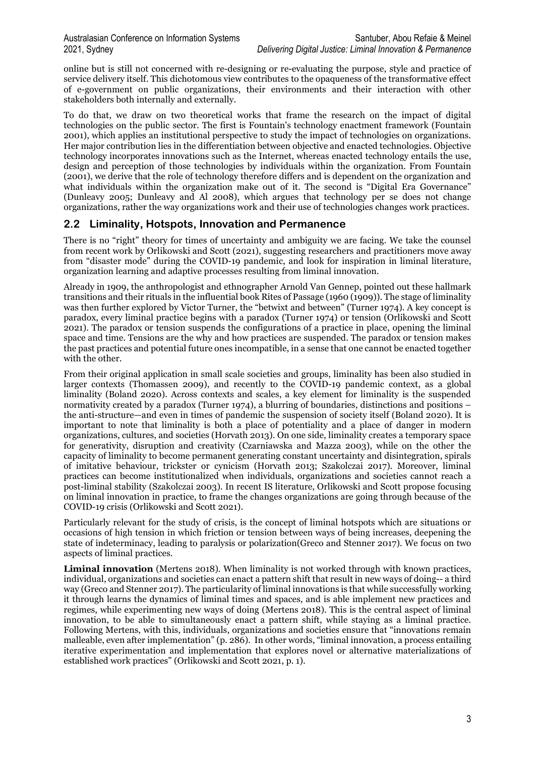online but is still not concerned with re-designing or re-evaluating the purpose, style and practice of service delivery itself. This dichotomous view contributes to the opaqueness of the transformative effect of e-government on public organizations, their environments and their interaction with other stakeholders both internally and externally.

To do that, we draw on two theoretical works that frame the research on the impact of digital technologies on the public sector. The first is Fountain's technology enactment framework (Fountain 2001), which applies an institutional perspective to study the impact of technologies on organizations. Her major contribution lies in the differentiation between objective and enacted technologies. Objective technology incorporates innovations such as the Internet, whereas enacted technology entails the use, design and perception of those technologies by individuals within the organization. From Fountain (2001), we derive that the role of technology therefore differs and is dependent on the organization and what individuals within the organization make out of it. The second is "Digital Era Governance" (Dunleavy 2005; Dunleavy and Al 2008), which argues that technology per se does not change organizations, rather the way organizations work and their use of technologies changes work practices.

#### **2.2 Liminality, Hotspots, Innovation and Permanence**

There is no "right" theory for times of uncertainty and ambiguity we are facing. We take the counsel from recent work by Orlikowski and Scott (2021), suggesting researchers and practitioners move away from "disaster mode" during the COVID-19 pandemic, and look for inspiration in liminal literature, organization learning and adaptive processes resulting from liminal innovation.

Already in 1909, the anthropologist and ethnographer Arnold Van Gennep, pointed out these hallmark transitions and their rituals in the influential book Rites of Passage (1960 (1909)). The stage of liminality was then further explored by Victor Turner, the "betwixt and between" (Turner 1974). A key concept is paradox, every liminal practice begins with a paradox (Turner 1974) or tension (Orlikowski and Scott 2021). The paradox or tension suspends the configurations of a practice in place, opening the liminal space and time. Tensions are the why and how practices are suspended. The paradox or tension makes the past practices and potential future ones incompatible, in a sense that one cannot be enacted together with the other.

From their original application in small scale societies and groups, liminality has been also studied in larger contexts (Thomassen 2009), and recently to the COVID-19 pandemic context, as a global liminality (Boland 2020). Across contexts and scales, a key element for liminality is the suspended normativity created by a paradox (Turner 1974), a blurring of boundaries, distinctions and positions – the anti-structure—and even in times of pandemic the suspension of society itself (Boland 2020). It is important to note that liminality is both a place of potentiality and a place of danger in modern organizations, cultures, and societies (Horvath 2013). On one side, liminality creates a temporary space for generativity, disruption and creativity (Czarniawska and Mazza 2003), while on the other the capacity of liminality to become permanent generating constant uncertainty and disintegration, spirals of imitative behaviour, trickster or cynicism (Horvath 2013; Szakolczai 2017). Moreover, liminal practices can become institutionalized when individuals, organizations and societies cannot reach a post-liminal stability (Szakolczai 2003). In recent IS literature, Orlikowski and Scott propose focusing on liminal innovation in practice, to frame the changes organizations are going through because of the COVID-19 crisis (Orlikowski and Scott 2021).

Particularly relevant for the study of crisis, is the concept of liminal hotspots which are situations or occasions of high tension in which friction or tension between ways of being increases, deepening the state of indeterminacy, leading to paralysis or polarization(Greco and Stenner 2017). We focus on two aspects of liminal practices.

**Liminal innovation** (Mertens 2018). When liminality is not worked through with known practices, individual, organizations and societies can enact a pattern shift that result in new ways of doing-- a third way (Greco and Stenner 2017). The particularity of liminal innovations is that while successfully working it through learns the dynamics of liminal times and spaces, and is able implement new practices and regimes, while experimenting new ways of doing (Mertens 2018). This is the central aspect of liminal innovation, to be able to simultaneously enact a pattern shift, while staying as a liminal practice. Following Mertens, with this, individuals, organizations and societies ensure that "innovations remain malleable, even after implementation" (p. 286). In other words, "liminal innovation, a process entailing iterative experimentation and implementation that explores novel or alternative materializations of established work practices" (Orlikowski and Scott 2021, p. 1).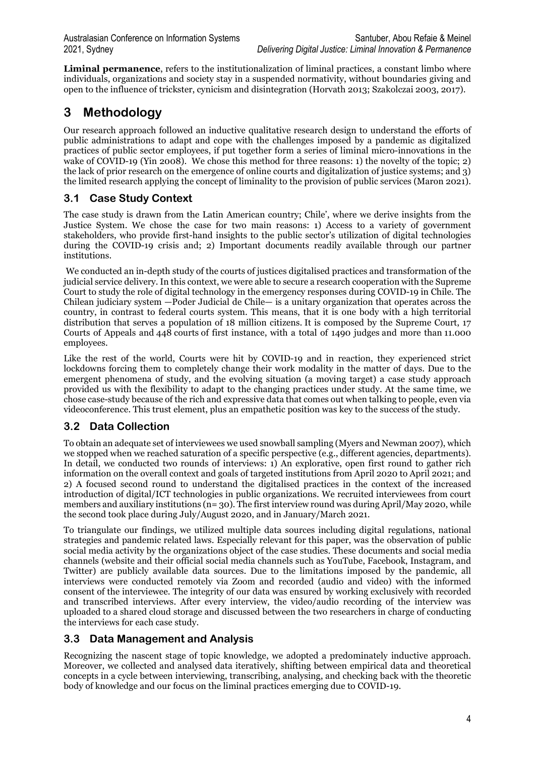**Liminal permanence**, refers to the institutionalization of liminal practices, a constant limbo where individuals, organizations and society stay in a suspended normativity, without boundaries giving and open to the influence of trickster, cynicism and disintegration (Horvath 2013; Szakolczai 2003, 2017).

# **3 Methodology**

Our research approach followed an inductive qualitative research design to understand the efforts of public administrations to adapt and cope with the challenges imposed by a pandemic as digitalized practices of public sector employees, if put together form a series of liminal micro-innovations in the wake of COVID-19 (Yin 2008). We chose this method for three reasons: 1) the novelty of the topic; 2) the lack of prior research on the emergence of online courts and digitalization of justice systems; and 3) the limited research applying the concept of liminality to the provision of public services (Maron 2021).

### **3.1 Case Study Context**

The case study is drawn from the Latin American country; Chile', where we derive insights from the Justice System. We chose the case for two main reasons: 1) Access to a variety of government stakeholders, who provide first-hand insights to the public sector's utilization of digital technologies during the COVID-19 crisis and; 2) Important documents readily available through our partner institutions.

We conducted an in-depth study of the courts of justices digitalised practices and transformation of the judicial service delivery. In this context, we were able to secure a research cooperation with the Supreme Court to study the role of digital technology in the emergency responses during COVID-19 in Chile. The Chilean judiciary system —Poder Judicial de Chile— is a unitary organization that operates across the country, in contrast to federal courts system. This means, that it is one body with a high territorial distribution that serves a population of 18 million citizens. It is composed by the Supreme Court, 17 Courts of Appeals and 448 courts of first instance, with a total of 1490 judges and more than 11.000 employees.

Like the rest of the world, Courts were hit by COVID-19 and in reaction, they experienced strict lockdowns forcing them to completely change their work modality in the matter of days. Due to the emergent phenomena of study, and the evolving situation (a moving target) a case study approach provided us with the flexibility to adapt to the changing practices under study. At the same time, we chose case-study because of the rich and expressive data that comes out when talking to people, even via videoconference. This trust element, plus an empathetic position was key to the success of the study.

### **3.2 Data Collection**

To obtain an adequate set of interviewees we used snowball sampling (Myers and Newman 2007), which we stopped when we reached saturation of a specific perspective (e.g., different agencies, departments). In detail, we conducted two rounds of interviews: 1) An explorative, open first round to gather rich information on the overall context and goals of targeted institutions from April 2020 to April 2021; and 2) A focused second round to understand the digitalised practices in the context of the increased introduction of digital/ICT technologies in public organizations. We recruited interviewees from court members and auxiliary institutions (n= 30). The first interview round was during April/May 2020, while the second took place during July/August 2020, and in January/March 2021.

To triangulate our findings, we utilized multiple data sources including digital regulations, national strategies and pandemic related laws. Especially relevant for this paper, was the observation of public social media activity by the organizations object of the case studies. These documents and social media channels (website and their official social media channels such as YouTube, Facebook, Instagram, and Twitter) are publicly available data sources. Due to the limitations imposed by the pandemic, all interviews were conducted remotely via Zoom and recorded (audio and video) with the informed consent of the interviewee. The integrity of our data was ensured by working exclusively with recorded and transcribed interviews. After every interview, the video/audio recording of the interview was uploaded to a shared cloud storage and discussed between the two researchers in charge of conducting the interviews for each case study.

### **3.3 Data Management and Analysis**

Recognizing the nascent stage of topic knowledge, we adopted a predominately inductive approach. Moreover, we collected and analysed data iteratively, shifting between empirical data and theoretical concepts in a cycle between interviewing, transcribing, analysing, and checking back with the theoretic body of knowledge and our focus on the liminal practices emerging due to COVID-19.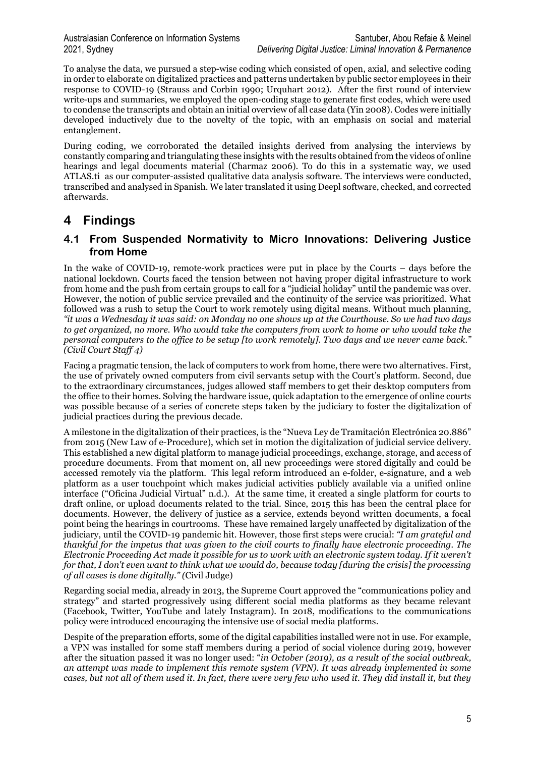To analyse the data, we pursued a step-wise coding which consisted of open, axial, and selective coding in order to elaborate on digitalized practices and patterns undertaken by public sector employees in their response to COVID-19 (Strauss and Corbin 1990; Urquhart 2012). After the first round of interview write-ups and summaries, we employed the open-coding stage to generate first codes, which were used to condense the transcripts and obtain an initial overview of all case data (Yin 2008). Codes were initially developed inductively due to the novelty of the topic, with an emphasis on social and material entanglement.

During coding, we corroborated the detailed insights derived from analysing the interviews by constantly comparing and triangulating these insights with the results obtained from the videos of online hearings and legal documents material (Charmaz 2006). To do this in a systematic way, we used ATLAS.ti as our computer-assisted qualitative data analysis software. The interviews were conducted, transcribed and analysed in Spanish. We later translated it using Deepl software, checked, and corrected afterwards.

## **4 Findings**

#### **4.1 From Suspended Normativity to Micro Innovations: Delivering Justice from Home**

In the wake of COVID-19, remote-work practices were put in place by the Courts – days before the national lockdown. Courts faced the tension between not having proper digital infrastructure to work from home and the push from certain groups to call for a "judicial holiday" until the pandemic was over. However, the notion of public service prevailed and the continuity of the service was prioritized. What followed was a rush to setup the Court to work remotely using digital means. Without much planning, *"it was a Wednesday it was said: on Monday no one shows up at the Courthouse. So we had two days to get organized, no more. Who would take the computers from work to home or who would take the personal computers to the office to be setup [to work remotely]. Two days and we never came back." (Civil Court Staff 4)*

Facing a pragmatic tension, the lack of computers to work from home, there were two alternatives. First, the use of privately owned computers from civil servants setup with the Court's platform. Second, due to the extraordinary circumstances, judges allowed staff members to get their desktop computers from the office to their homes. Solving the hardware issue, quick adaptation to the emergence of online courts was possible because of a series of concrete steps taken by the judiciary to foster the digitalization of judicial practices during the previous decade.

A milestone in the digitalization of their practices, is the "Nueva Ley de Tramitación Electrónica 20.886" from 2015 (New Law of e-Procedure), which set in motion the digitalization of judicial service delivery. This established a new digital platform to manage judicial proceedings, exchange, storage, and access of procedure documents. From that moment on, all new proceedings were stored digitally and could be accessed remotely via the platform. This legal reform introduced an e-folder, e-signature, and a web platform as a user touchpoint which makes judicial activities publicly available via a unified online interface ("Oficina Judicial Virtual" n.d.). At the same time, it created a single platform for courts to draft online, or upload documents related to the trial. Since, 2015 this has been the central place for documents. However, the delivery of justice as a service, extends beyond written documents, a focal point being the hearings in courtrooms. These have remained largely unaffected by digitalization of the judiciary, until the COVID-19 pandemic hit. However, those first steps were crucial: *"I am grateful and thankful for the impetus that was given to the civil courts to finally have electronic proceeding. The Electronic Proceeding Act made it possible for us to work with an electronic system today. If it weren't for that, I don't even want to think what we would do, because today [during the crisis] the processing of all cases is done digitally." (*Civil Judge)

Regarding social media, already in 2013, the Supreme Court approved the "communications policy and strategy" and started progressively using different social media platforms as they became relevant (Facebook, Twitter, YouTube and lately Instagram). In 2018, modifications to the communications policy were introduced encouraging the intensive use of social media platforms.

Despite of the preparation efforts, some of the digital capabilities installed were not in use. For example, a VPN was installed for some staff members during a period of social violence during 2019, however after the situation passed it was no longer used: "*in October (2019), as a result of the social outbreak, an attempt was made to implement this remote system (VPN). It was already implemented in some cases, but not all of them used it. In fact, there were very few who used it. They did install it, but they*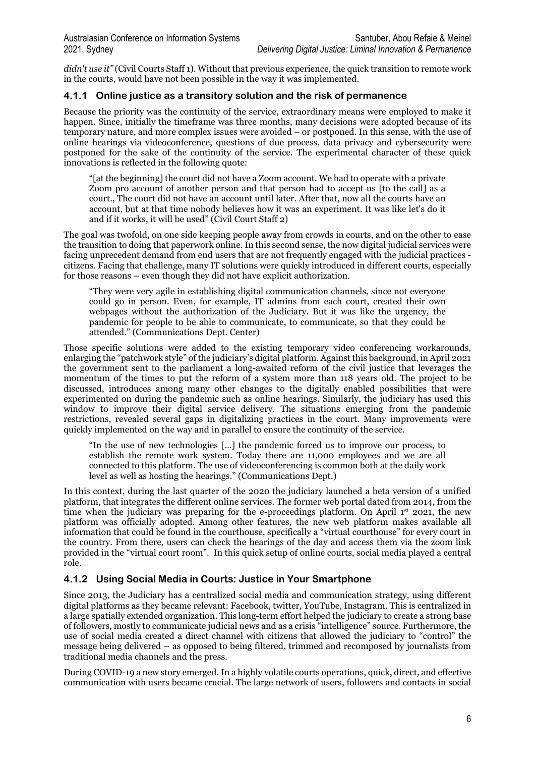*didn't use it"* (Civil Courts Staff 1). Without that previous experience, the quick transition to remote work in the courts, would have not been possible in the way it was implemented.

#### **4.1.1 Online justice as a transitory solution and the risk of permanence**

Because the priority was the continuity of the service, extraordinary means were employed to make it happen. Since, initially the timeframe was three months, many decisions were adopted because of its temporary nature, and more complex issues were avoided – or postponed. In this sense, with the use of online hearings via videoconference, questions of due process, data privacy and cybersecurity were postponed for the sake of the continuity of the service. The experimental character of these quick innovations is reflected in the following quote:

"[at the beginning] the court did not have a Zoom account. We had to operate with a private Zoom pro account of another person and that person had to accept us [to the call] as a court., The court did not have an account until later. After that, now all the courts have an account, but at that time nobody believes how it was an experiment. It was like let's do it and if it works, it will be used" (Civil Court Staff 2)

The goal was twofold, on one side keeping people away from crowds in courts, and on the other to ease the transition to doing that paperwork online. In this second sense, the now digital judicial services were facing unprecedent demand from end users that are not frequently engaged with the judicial practices citizens. Facing that challenge, many IT solutions were quickly introduced in different courts, especially for those reasons – even though they did not have explicit authorization.

"They were very agile in establishing digital communication channels, since not everyone could go in person. Even, for example, IT admins from each court, created their own webpages without the authorization of the Judiciary. But it was like the urgency, the pandemic for people to be able to communicate, to communicate, so that they could be attended." (Communications Dept. Center)

Those specific solutions were added to the existing temporary video conferencing workarounds, enlarging the "patchwork style" of the judiciary's digital platform. Against this background, in April 2021 the government sent to the parliament a long-awaited reform of the civil justice that leverages the momentum of the times to put the reform of a system more than 118 years old. The project to be discussed, introduces among many other changes to the digitally enabled possibilities that were experimented on during the pandemic such as online hearings. Similarly, the judiciary has used this window to improve their digital service delivery. The situations emerging from the pandemic restrictions, revealed several gaps in digitalizing practices in the court. Many improvements were quickly implemented on the way and in parallel to ensure the continuity of the service.

"In the use of new technologies […] the pandemic forced us to improve our process, to establish the remote work system. Today there are 11,000 employees and we are all connected to this platform. The use of videoconferencing is common both at the daily work level as well as hosting the hearings." (Communications Dept.)

In this context, during the last quarter of the 2020 the judiciary launched a beta version of a unified platform, that integrates the different online services. The former web portal dated from 2014, from the time when the judiciary was preparing for the e-proceedings platform. On April 1<sup>st</sup> 2021, the new platform was officially adopted. Among other features, the new web platform makes available all information that could be found in the courthouse, specifically a "virtual courthouse" for every court in the country. From there, users can check the hearings of the day and access them via the zoom link provided in the "virtual court room". In this quick setup of online courts, social media played a central role.

#### **4.1.2 Using Social Media in Courts: Justice in Your Smartphone**

Since 2013, the Judiciary has a centralized social media and communication strategy, using different digital platforms as they became relevant: Facebook, twitter, YouTube, Instagram. This is centralized in a large spatially extended organization. This long-term effort helped the judiciary to create a strong base of followers, mostly to communicate judicial news and as a crisis "intelligence" source. Furthermore, the use of social media created a direct channel with citizens that allowed the judiciary to "control" the message being delivered – as opposed to being filtered, trimmed and recomposed by journalists from traditional media channels and the press.

During COVID-19 a new story emerged. In a highly volatile courts operations, quick, direct, and effective communication with users became crucial. The large network of users, followers and contacts in social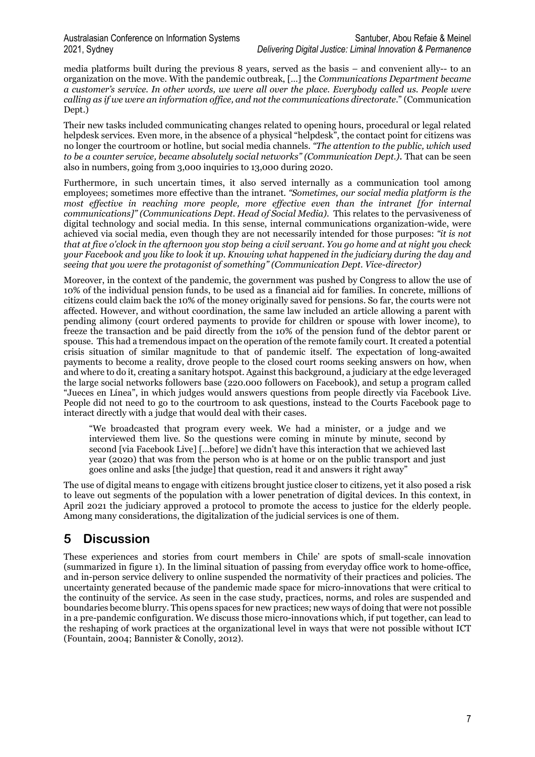media platforms built during the previous 8 years, served as the basis – and convenient ally-- to an organization on the move. With the pandemic outbreak, […] the *Communications Department became a customer's service. In other words, we were all over the place. Everybody called us. People were calling as if we were an information office, and not the communications directorate*." (Communication Dept.)

Their new tasks included communicating changes related to opening hours, procedural or legal related helpdesk services. Even more, in the absence of a physical "helpdesk", the contact point for citizens was no longer the courtroom or hotline, but social media channels. *"The attention to the public, which used to be a counter service, became absolutely social networks" (Communication Dept.)*. That can be seen also in numbers, going from 3,000 inquiries to 13,000 during 2020.

Furthermore, in such uncertain times, it also served internally as a communication tool among employees; sometimes more effective than the intranet. *"Sometimes, our social media platform is the most effective in reaching more people, more effective even than the intranet [for internal communications]" (Communications Dept. Head of Social Media).* This relates to the pervasiveness of digital technology and social media. In this sense, internal communications organization-wide, were achieved via social media, even though they are not necessarily intended for those purposes: *"it is not that at five o'clock in the afternoon you stop being a civil servant. You go home and at night you check your Facebook and you like to look it up. Knowing what happened in the judiciary during the day and seeing that you were the protagonist of something" (Communication Dept. Vice-director)* 

Moreover, in the context of the pandemic, the government was pushed by Congress to allow the use of 10% of the individual pension funds, to be used as a financial aid for families. In concrete, millions of citizens could claim back the 10% of the money originally saved for pensions. So far, the courts were not affected. However, and without coordination, the same law included an article allowing a parent with pending alimony (court ordered payments to provide for children or spouse with lower income), to freeze the transaction and be paid directly from the 10% of the pension fund of the debtor parent or spouse. This had a tremendous impact on the operation of the remote family court. It created a potential crisis situation of similar magnitude to that of pandemic itself. The expectation of long-awaited payments to become a reality, drove people to the closed court rooms seeking answers on how, when and where to do it, creating a sanitary hotspot. Against this background, a judiciary at the edge leveraged the large social networks followers base (220.000 followers on Facebook), and setup a program called "Jueces en Línea", in which judges would answers questions from people directly via Facebook Live. People did not need to go to the courtroom to ask questions, instead to the Courts Facebook page to interact directly with a judge that would deal with their cases.

"We broadcasted that program every week. We had a minister, or a judge and we interviewed them live. So the questions were coming in minute by minute, second by second [via Facebook Live] […before] we didn't have this interaction that we achieved last year (2020) that was from the person who is at home or on the public transport and just goes online and asks [the judge] that question, read it and answers it right away"

The use of digital means to engage with citizens brought justice closer to citizens, yet it also posed a risk to leave out segments of the population with a lower penetration of digital devices. In this context, in April 2021 the judiciary approved a protocol to promote the access to justice for the elderly people. Among many considerations, the digitalization of the judicial services is one of them.

## **5 Discussion**

These experiences and stories from court members in Chile' are spots of small-scale innovation (summarized in figure 1). In the liminal situation of passing from everyday office work to home-office, and in-person service delivery to online suspended the normativity of their practices and policies. The uncertainty generated because of the pandemic made space for micro-innovations that were critical to the continuity of the service. As seen in the case study, practices, norms, and roles are suspended and boundaries become blurry. This opens spaces for new practices; new ways of doing that were not possible in a pre-pandemic configuration. We discuss those micro-innovations which, if put together, can lead to the reshaping of work practices at the organizational level in ways that were not possible without ICT (Fountain, 2004; Bannister & Conolly, 2012).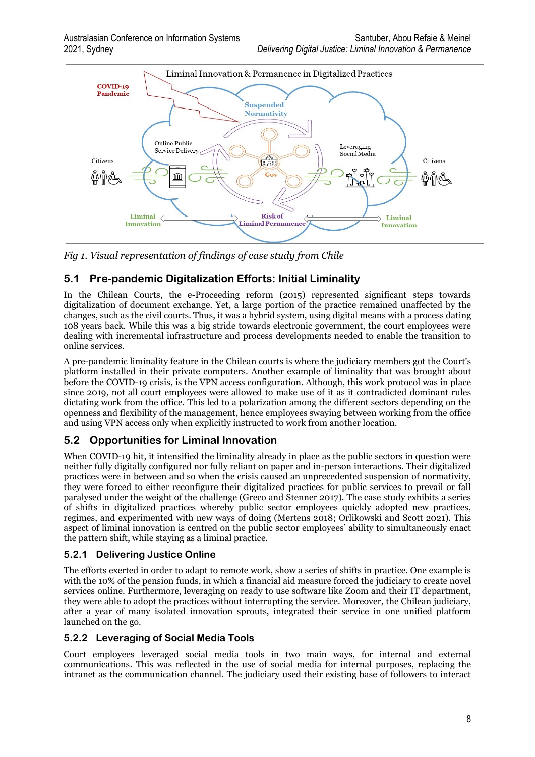

*Fig 1. Visual representation of findings of case study from Chile* 

#### **5.1 Pre-pandemic Digitalization Efforts: Initial Liminality**

In the Chilean Courts, the e-Proceeding reform (2015) represented significant steps towards digitalization of document exchange. Yet, a large portion of the practice remained unaffected by the changes, such as the civil courts. Thus, it was a hybrid system, using digital means with a process dating 108 years back. While this was a big stride towards electronic government, the court employees were dealing with incremental infrastructure and process developments needed to enable the transition to online services.

A pre-pandemic liminality feature in the Chilean courts is where the judiciary members got the Court's platform installed in their private computers. Another example of liminality that was brought about before the COVID-19 crisis, is the VPN access configuration. Although, this work protocol was in place since 2019, not all court employees were allowed to make use of it as it contradicted dominant rules dictating work from the office. This led to a polarization among the different sectors depending on the openness and flexibility of the management, hence employees swaying between working from the office and using VPN access only when explicitly instructed to work from another location.

#### **5.2 Opportunities for Liminal Innovation**

When COVID-19 hit, it intensified the liminality already in place as the public sectors in question were neither fully digitally configured nor fully reliant on paper and in-person interactions. Their digitalized practices were in between and so when the crisis caused an unprecedented suspension of normativity, they were forced to either reconfigure their digitalized practices for public services to prevail or fall paralysed under the weight of the challenge (Greco and Stenner 2017). The case study exhibits a series of shifts in digitalized practices whereby public sector employees quickly adopted new practices, regimes, and experimented with new ways of doing (Mertens 2018; Orlikowski and Scott 2021). This aspect of liminal innovation is centred on the public sector employees' ability to simultaneously enact the pattern shift, while staying as a liminal practice.

#### **5.2.1 Delivering Justice Online**

The efforts exerted in order to adapt to remote work, show a series of shifts in practice. One example is with the 10% of the pension funds, in which a financial aid measure forced the judiciary to create novel services online. Furthermore, leveraging on ready to use software like Zoom and their IT department, they were able to adopt the practices without interrupting the service. Moreover, the Chilean judiciary, after a year of many isolated innovation sprouts, integrated their service in one unified platform launched on the go.

#### **5.2.2 Leveraging of Social Media Tools**

Court employees leveraged social media tools in two main ways, for internal and external communications. This was reflected in the use of social media for internal purposes, replacing the intranet as the communication channel. The judiciary used their existing base of followers to interact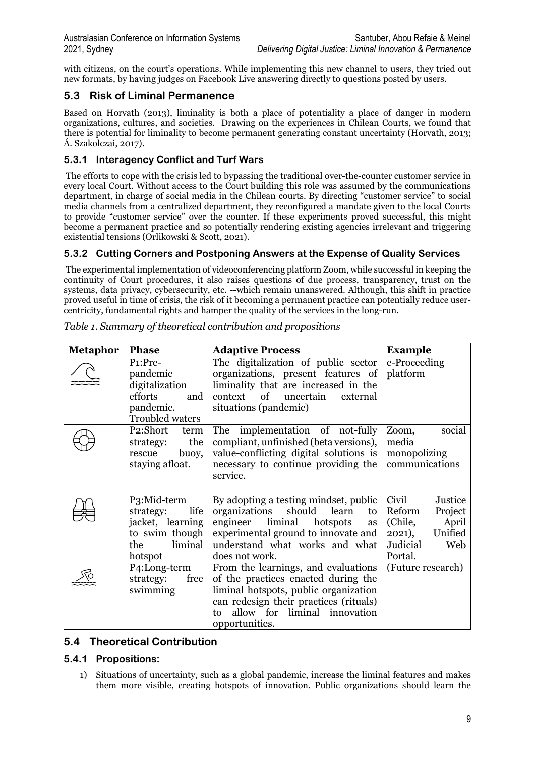with citizens, on the court's operations. While implementing this new channel to users, they tried out new formats, by having judges on Facebook Live answering directly to questions posted by users.

#### **5.3 Risk of Liminal Permanence**

Based on Horvath (2013), liminality is both a place of potentiality a place of danger in modern organizations, cultures, and societies. Drawing on the experiences in Chilean Courts, we found that there is potential for liminality to become permanent generating constant uncertainty (Horvath, 2013; Á. Szakolczai, 2017).

#### **5.3.1 Interagency Conflict and Turf Wars**

The efforts to cope with the crisis led to bypassing the traditional over-the-counter customer service in every local Court. Without access to the Court building this role was assumed by the communications department, in charge of social media in the Chilean courts. By directing "customer service" to social media channels from a centralized department, they reconfigured a mandate given to the local Courts to provide "customer service" over the counter. If these experiments proved successful, this might become a permanent practice and so potentially rendering existing agencies irrelevant and triggering existential tensions (Orlikowski & Scott, 2021).

#### **5.3.2 Cutting Corners and Postponing Answers at the Expense of Quality Services**

The experimental implementation of videoconferencing platform Zoom, while successful in keeping the continuity of Court procedures, it also raises questions of due process, transparency, trust on the systems, data privacy, cybersecurity, etc. --which remain unanswered. Although, this shift in practice proved useful in time of crisis, the risk of it becoming a permanent practice can potentially reduce usercentricity, fundamental rights and hamper the quality of the services in the long-run.

| <b>Metaphor</b> | <b>Phase</b>                                                                                                     | <b>Adaptive Process</b>                                                                                                                                                                                               | <b>Example</b>                                                                                              |
|-----------------|------------------------------------------------------------------------------------------------------------------|-----------------------------------------------------------------------------------------------------------------------------------------------------------------------------------------------------------------------|-------------------------------------------------------------------------------------------------------------|
|                 | P <sub>1</sub> :Pre-<br>pandemic<br>digitalization<br>efforts<br>and<br>pandemic.<br><b>Troubled waters</b>      | The digitalization of public sector<br>organizations, present features of<br>liminality that are increased in the<br>context of<br>uncertain<br>external<br>situations (pandemic)                                     | e-Proceeding<br>platform                                                                                    |
|                 | P2:Short<br>term<br>the<br>strategy:<br>buoy,<br>rescue<br>staying afloat.                                       | The<br>implementation of not-fully<br>compliant, unfinished (beta versions),<br>value-conflicting digital solutions is<br>necessary to continue providing the<br>service.                                             | social<br>Zoom,<br>media<br>monopolizing<br>communications                                                  |
|                 | P <sub>3</sub> :Mid-term<br>life<br>strategy:<br>jacket, learning<br>to swim though<br>liminal<br>the<br>hotspot | By adopting a testing mindset, public<br>should<br>organizations<br>learn<br>to<br>liminal<br>engineer<br>hotspots<br>as<br>experimental ground to innovate and<br>understand what works and what<br>does not work.   | Civil<br>Justice<br>Reform<br>Project<br>(Chile,<br>April<br>Unified<br>2021,<br>Judicial<br>Web<br>Portal. |
|                 | P <sub>4</sub> :Long-term<br>strategy:<br>free<br>swimming                                                       | From the learnings, and evaluations<br>of the practices enacted during the<br>liminal hotspots, public organization<br>can redesign their practices (rituals)<br>allow for liminal innovation<br>to<br>opportunities. | (Future research)                                                                                           |

*Table 1. Summary of theoretical contribution and propositions*

### **5.4 Theoretical Contribution**

#### **5.4.1 Propositions:**

1) Situations of uncertainty, such as a global pandemic, increase the liminal features and makes them more visible, creating hotspots of innovation. Public organizations should learn the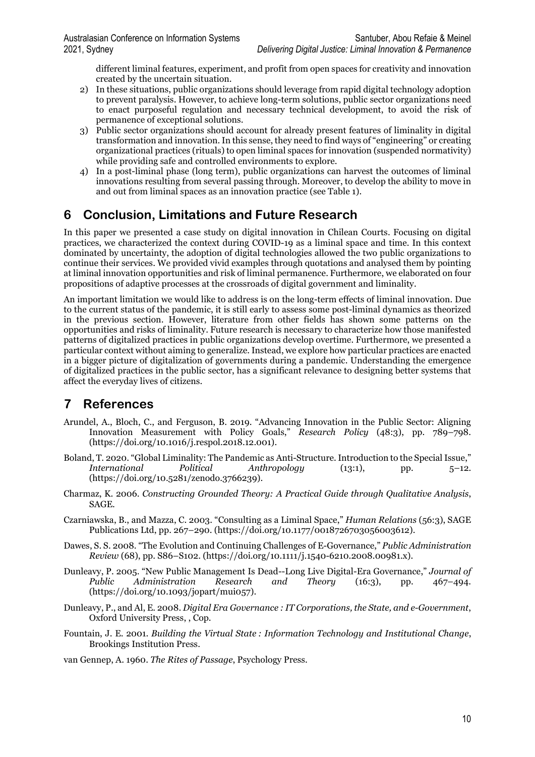different liminal features, experiment, and profit from open spaces for creativity and innovation created by the uncertain situation.

- 2) In these situations, public organizations should leverage from rapid digital technology adoption to prevent paralysis. However, to achieve long-term solutions, public sector organizations need to enact purposeful regulation and necessary technical development, to avoid the risk of permanence of exceptional solutions.
- 3) Public sector organizations should account for already present features of liminality in digital transformation and innovation. In this sense, they need to find ways of "engineering" or creating organizational practices (rituals) to open liminal spaces for innovation (suspended normativity) while providing safe and controlled environments to explore.
- 4) In a post-liminal phase (long term), public organizations can harvest the outcomes of liminal innovations resulting from several passing through. Moreover, to develop the ability to move in and out from liminal spaces as an innovation practice (see Table 1).

## **6 Conclusion, Limitations and Future Research**

In this paper we presented a case study on digital innovation in Chilean Courts. Focusing on digital practices, we characterized the context during COVID-19 as a liminal space and time. In this context dominated by uncertainty, the adoption of digital technologies allowed the two public organizations to continue their services. We provided vivid examples through quotations and analysed them by pointing at liminal innovation opportunities and risk of liminal permanence. Furthermore, we elaborated on four propositions of adaptive processes at the crossroads of digital government and liminality.

An important limitation we would like to address is on the long-term effects of liminal innovation. Due to the current status of the pandemic, it is still early to assess some post-liminal dynamics as theorized in the previous section. However, literature from other fields has shown some patterns on the opportunities and risks of liminality. Future research is necessary to characterize how those manifested patterns of digitalized practices in public organizations develop overtime. Furthermore, we presented a particular context without aiming to generalize. Instead, we explore how particular practices are enacted in a bigger picture of digitalization of governments during a pandemic. Understanding the emergence of digitalized practices in the public sector, has a significant relevance to designing better systems that affect the everyday lives of citizens.

## **7 References**

- Arundel, A., Bloch, C., and Ferguson, B. 2019. "Advancing Innovation in the Public Sector: Aligning Innovation Measurement with Policy Goals," *Research Policy* (48:3), pp. 789–798. (https://doi.org/10.1016/j.respol.2018.12.001).
- Boland, T. 2020. "Global Liminality: The Pandemic as Anti-Structure. Introduction to the Special Issue,"<br>*International* Political *Anthropology* (13:1), pp. 5–12. *Anthropology* (13:1), pp. 5–12. (https://doi.org/10.5281/zenodo.3766239).
- Charmaz, K. 2006. *Constructing Grounded Theory: A Practical Guide through Qualitative Analysis*, SAGE.
- Czarniawska, B., and Mazza, C. 2003. "Consulting as a Liminal Space," *Human Relations* (56:3), SAGE Publications Ltd, pp. 267–290. (https://doi.org/10.1177/0018726703056003612).
- Dawes, S. S. 2008. "The Evolution and Continuing Challenges of E-Governance," *Public Administration Review* (68), pp. S86–S102. (https://doi.org/10.1111/j.1540-6210.2008.00981.x).
- Dunleavy, P. 2005. "New Public Management Is Dead--Long Live Digital-Era Governance," *Journal of Public Administration Research and Theory* (16:3), pp. 467–494. (https://doi.org/10.1093/jopart/mui057).
- Dunleavy, P., and Al, E. 2008. *Digital Era Governance : IT Corporations, the State, and e-Government*, Oxford University Press, , Cop.
- Fountain, J. E. 2001. *Building the Virtual State : Information Technology and Institutional Change*, Brookings Institution Press.

van Gennep, A. 1960. *The Rites of Passage*, Psychology Press.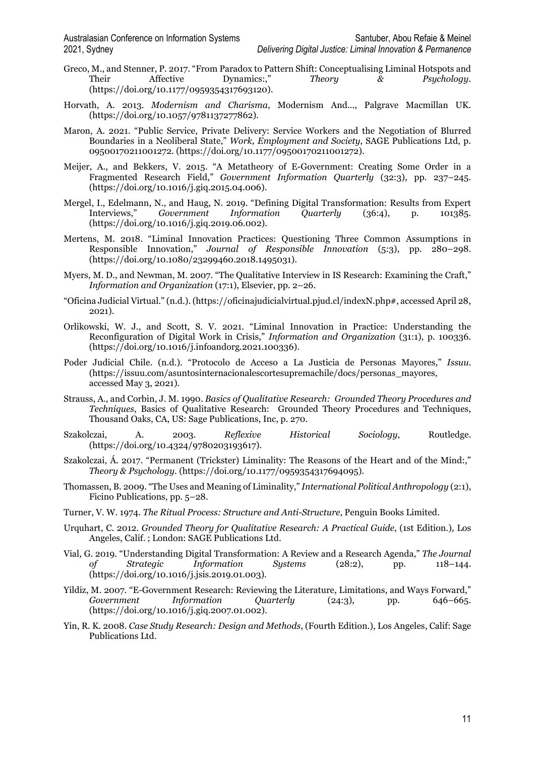- Greco, M., and Stenner, P. 2017. "From Paradox to Pattern Shift: Conceptualising Liminal Hotspots and<br>Their Affective Dynamics:." Theory & Psychology. Dynamics:," *Theory & Psychology.* (https://doi.org/10.1177/0959354317693120).
- Horvath, A. 2013. *Modernism and Charisma*, Modernism And..., Palgrave Macmillan UK. (https://doi.org/10.1057/9781137277862).
- Maron, A. 2021. "Public Service, Private Delivery: Service Workers and the Negotiation of Blurred Boundaries in a Neoliberal State," *Work, Employment and Society*, SAGE Publications Ltd, p. 09500170211001272. (https://doi.org/10.1177/09500170211001272).
- Meijer, A., and Bekkers, V. 2015. "A Metatheory of E-Government: Creating Some Order in a Fragmented Research Field," *Government Information Quarterly* (32:3), pp. 237–245. (https://doi.org/10.1016/j.giq.2015.04.006).
- Mergel, I., Edelmann, N., and Haug, N. 2019. "Defining Digital Transformation: Results from Expert<br>Interviews," Government Information Ouarterly (36:4), p. 101385. Government Information Quarterly (36:4), p. 101385. (https://doi.org/10.1016/j.giq.2019.06.002).
- Mertens, M. 2018. "Liminal Innovation Practices: Questioning Three Common Assumptions in Responsible Innovation," *Journal of Responsible Innovation* (5:3), pp. 280–298. (https://doi.org/10.1080/23299460.2018.1495031).
- Myers, M. D., and Newman, M. 2007. "The Qualitative Interview in IS Research: Examining the Craft," *Information and Organization* (17:1), Elsevier, pp. 2–26.
- "Oficina Judicial Virtual." (n.d.). (https://oficinajudicialvirtual.pjud.cl/indexN.php#, accessed April 28, 2021).
- Orlikowski, W. J., and Scott, S. V. 2021. "Liminal Innovation in Practice: Understanding the Reconfiguration of Digital Work in Crisis," *Information and Organization* (31:1), p. 100336. (https://doi.org/10.1016/j.infoandorg.2021.100336).
- Poder Judicial Chile. (n.d.). "Protocolo de Acceso a La Justicia de Personas Mayores," *Issuu*. (https://issuu.com/asuntosinternacionalescortesupremachile/docs/personas\_mayores, accessed May 3, 2021).
- Strauss, A., and Corbin, J. M. 1990. *Basics of Qualitative Research: Grounded Theory Procedures and Techniques*, Basics of Qualitative Research: Grounded Theory Procedures and Techniques, Thousand Oaks, CA, US: Sage Publications, Inc, p. 270.
- Szakolczai, A. 2003. *Reflexive Historical Sociology*, Routledge. (https://doi.org/10.4324/9780203193617).
- Szakolczai, Á. 2017. "Permanent (Trickster) Liminality: The Reasons of the Heart and of the Mind:," *Theory & Psychology*. (https://doi.org/10.1177/0959354317694095).
- Thomassen, B. 2009. "The Uses and Meaning of Liminality," *International Political Anthropology* (2:1), Ficino Publications, pp. 5–28.
- Turner, V. W. 1974. *The Ritual Process: Structure and Anti-Structure*, Penguin Books Limited.
- Urquhart, C. 2012. *Grounded Theory for Qualitative Research: A Practical Guide*, (1st Edition.), Los Angeles, Calif. ; London: SAGE Publications Ltd.
- Vial, G. 2019. "Understanding Digital Transformation: A Review and a Research Agenda," *The Journal of Strategic Information Systems* (28:2), pp. 118–144. (https://doi.org/10.1016/j.jsis.2019.01.003).
- Yildiz, M. 2007. "E-Government Research: Reviewing the Literature, Limitations, and Ways Forward," *Government Information Quarterly* (24:3), pp. 646–665. (https://doi.org/10.1016/j.giq.2007.01.002).
- Yin, R. K. 2008. *Case Study Research: Design and Methods*, (Fourth Edition.), Los Angeles, Calif: Sage Publications Ltd.